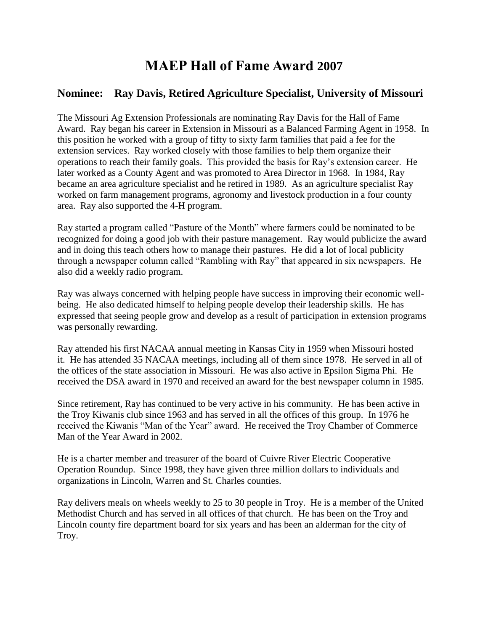## **MAEP Hall of Fame Award 2007**

## **Nominee: Ray Davis, Retired Agriculture Specialist, University of Missouri**

The Missouri Ag Extension Professionals are nominating Ray Davis for the Hall of Fame Award. Ray began his career in Extension in Missouri as a Balanced Farming Agent in 1958. In this position he worked with a group of fifty to sixty farm families that paid a fee for the extension services. Ray worked closely with those families to help them organize their operations to reach their family goals. This provided the basis for Ray's extension career. He later worked as a County Agent and was promoted to Area Director in 1968. In 1984, Ray became an area agriculture specialist and he retired in 1989. As an agriculture specialist Ray worked on farm management programs, agronomy and livestock production in a four county area. Ray also supported the 4-H program.

Ray started a program called "Pasture of the Month" where farmers could be nominated to be recognized for doing a good job with their pasture management. Ray would publicize the award and in doing this teach others how to manage their pastures. He did a lot of local publicity through a newspaper column called "Rambling with Ray" that appeared in six newspapers. He also did a weekly radio program.

Ray was always concerned with helping people have success in improving their economic wellbeing. He also dedicated himself to helping people develop their leadership skills. He has expressed that seeing people grow and develop as a result of participation in extension programs was personally rewarding.

Ray attended his first NACAA annual meeting in Kansas City in 1959 when Missouri hosted it. He has attended 35 NACAA meetings, including all of them since 1978. He served in all of the offices of the state association in Missouri. He was also active in Epsilon Sigma Phi. He received the DSA award in 1970 and received an award for the best newspaper column in 1985.

Since retirement, Ray has continued to be very active in his community. He has been active in the Troy Kiwanis club since 1963 and has served in all the offices of this group. In 1976 he received the Kiwanis "Man of the Year" award. He received the Troy Chamber of Commerce Man of the Year Award in 2002.

He is a charter member and treasurer of the board of Cuivre River Electric Cooperative Operation Roundup. Since 1998, they have given three million dollars to individuals and organizations in Lincoln, Warren and St. Charles counties.

Ray delivers meals on wheels weekly to 25 to 30 people in Troy. He is a member of the United Methodist Church and has served in all offices of that church. He has been on the Troy and Lincoln county fire department board for six years and has been an alderman for the city of Troy.